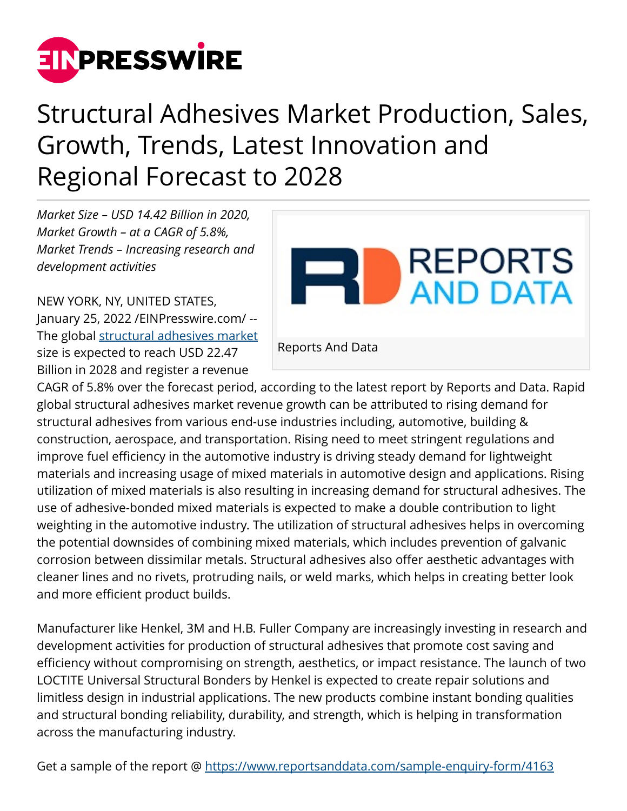

## Structural Adhesives Market Production, Sales, Growth, Trends, Latest Innovation and Regional Forecast to 2028

*Market Size – USD 14.42 Billion in 2020, Market Growth – at a CAGR of 5.8%, Market Trends – Increasing research and development activities*

NEW YORK, NY, UNITED STATES, January 25, 2022 /[EINPresswire.com](http://www.einpresswire.com)/ - The global [structural adhesives market](https://www.reportsanddata.com/report-detail/structural-adhesives-market) size is expected to reach USD 22.47 Billion in 2028 and register a revenue



CAGR of 5.8% over the forecast period, according to the latest report by Reports and Data. Rapid global structural adhesives market revenue growth can be attributed to rising demand for structural adhesives from various end-use industries including, automotive, building & construction, aerospace, and transportation. Rising need to meet stringent regulations and improve fuel efficiency in the automotive industry is driving steady demand for lightweight materials and increasing usage of mixed materials in automotive design and applications. Rising utilization of mixed materials is also resulting in increasing demand for structural adhesives. The use of adhesive-bonded mixed materials is expected to make a double contribution to light weighting in the automotive industry. The utilization of structural adhesives helps in overcoming the potential downsides of combining mixed materials, which includes prevention of galvanic corrosion between dissimilar metals. Structural adhesives also offer aesthetic advantages with cleaner lines and no rivets, protruding nails, or weld marks, which helps in creating better look and more efficient product builds.

Manufacturer like Henkel, 3M and H.B. Fuller Company are increasingly investing in research and development activities for production of structural adhesives that promote cost saving and efficiency without compromising on strength, aesthetics, or impact resistance. The launch of two LOCTITE Universal Structural Bonders by Henkel is expected to create repair solutions and limitless design in industrial applications. The new products combine instant bonding qualities and structural bonding reliability, durability, and strength, which is helping in transformation across the manufacturing industry.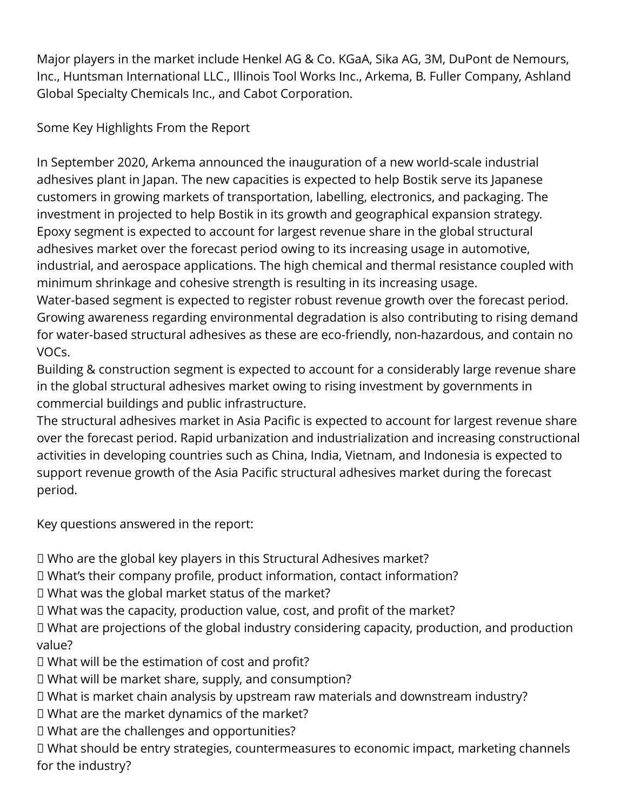Major players in the market include Henkel AG & Co. KGaA, Sika AG, 3M, DuPont de Nemours, Inc., Huntsman International LLC., Illinois Tool Works Inc., Arkema, B. Fuller Company, Ashland Global Specialty Chemicals Inc., and Cabot Corporation.

Some Key Highlights From the Report

In September 2020, Arkema announced the inauguration of a new world-scale industrial adhesives plant in Japan. The new capacities is expected to help Bostik serve its Japanese customers in growing markets of transportation, labelling, electronics, and packaging. The investment in projected to help Bostik in its growth and geographical expansion strategy. Epoxy segment is expected to account for largest revenue share in the global structural adhesives market over the forecast period owing to its increasing usage in automotive, industrial, and aerospace applications. The high chemical and thermal resistance coupled with minimum shrinkage and cohesive strength is resulting in its increasing usage.

Water-based segment is expected to register robust revenue growth over the forecast period. Growing awareness regarding environmental degradation is also contributing to rising demand for water-based structural adhesives as these are eco-friendly, non-hazardous, and contain no VOCs.

Building & construction segment is expected to account for a considerably large revenue share in the global structural adhesives market owing to rising investment by governments in commercial buildings and public infrastructure.

The structural adhesives market in Asia Pacific is expected to account for largest revenue share over the forecast period. Rapid urbanization and industrialization and increasing constructional activities in developing countries such as China, India, Vietnam, and Indonesia is expected to support revenue growth of the Asia Pacific structural adhesives market during the forecast period.

Key questions answered in the report:

□ Who are the global key players in this Structural Adhesives market?

➭ What's their company profile, product information, contact information?

□ What was the global market status of the market?

□ What was the capacity, production value, cost, and profit of the market?

□ What are projections of the global industry considering capacity, production, and production value?

□ What will be the estimation of cost and profit?

□ What will be market share, supply, and consumption?

➭ What is market chain analysis by upstream raw materials and downstream industry?

➭ What are the market dynamics of the market?

➭ What are the challenges and opportunities?

□ What should be entry strategies, countermeasures to economic impact, marketing channels for the industry?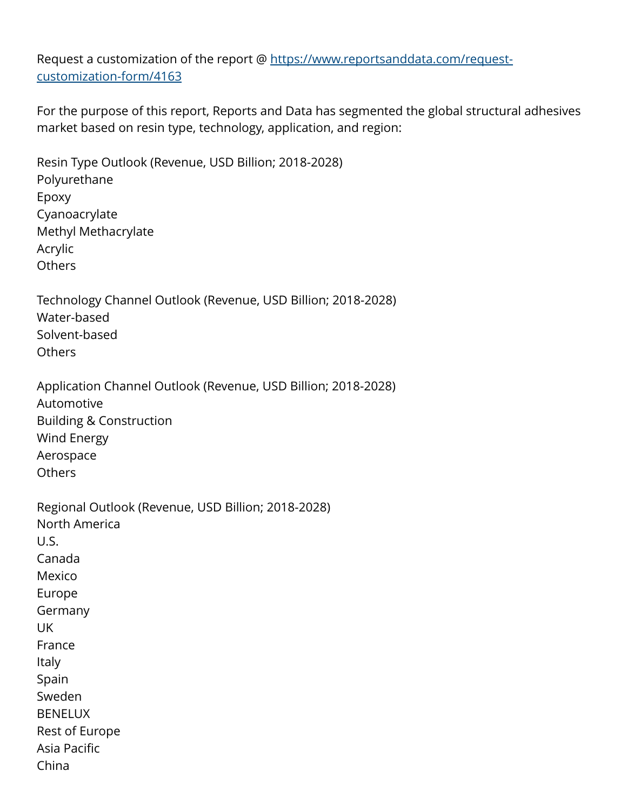Request a customization of the report @ [https://www.reportsanddata.com/request](https://www.reportsanddata.com/request-customization-form/4163)[customization-form/4163](https://www.reportsanddata.com/request-customization-form/4163)

For the purpose of this report, Reports and Data has segmented the global structural adhesives market based on resin type, technology, application, and region:

Resin Type Outlook (Revenue, USD Billion; 2018-2028) Polyurethane Epoxy Cyanoacrylate Methyl Methacrylate Acrylic **Others** 

Technology Channel Outlook (Revenue, USD Billion; 2018-2028) Water-based Solvent-based Others

Application Channel Outlook (Revenue, USD Billion; 2018-2028) Automotive Building & Construction Wind Energy Aerospace **Others** 

Regional Outlook (Revenue, USD Billion; 2018-2028) North America U.S. Canada Mexico Europe Germany UK France Italy Spain Sweden BENELUX Rest of Europe Asia Pacific China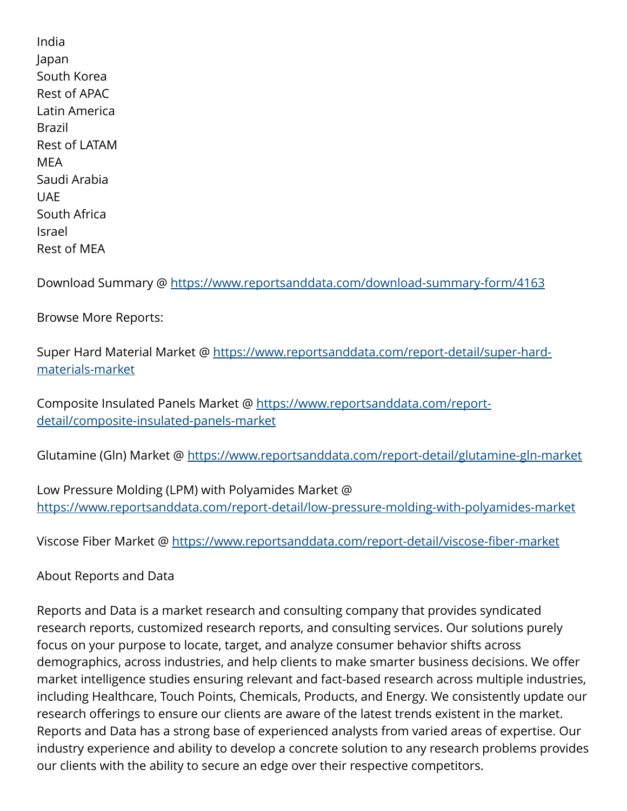India Japan South Korea Rest of APAC Latin America Brazil Rest of LATAM MEA Saudi Arabia UAE South Africa Israel Rest of MEA

Download Summary @ <https://www.reportsanddata.com/download-summary-form/4163>

Browse More Reports:

Super Hard Material Market @ [https://www.reportsanddata.com/report-detail/super-hard](https://www.reportsanddata.com/report-detail/super-hard-materials-market)[materials-market](https://www.reportsanddata.com/report-detail/super-hard-materials-market)

Composite Insulated Panels Market @ [https://www.reportsanddata.com/report](https://www.reportsanddata.com/report-detail/composite-insulated-panels-market)[detail/composite-insulated-panels-market](https://www.reportsanddata.com/report-detail/composite-insulated-panels-market)

Glutamine (Gln) Market @<https://www.reportsanddata.com/report-detail/glutamine-gln-market>

Low Pressure Molding (LPM) with Polyamides Market @ <https://www.reportsanddata.com/report-detail/low-pressure-molding-with-polyamides-market>

Viscose Fiber Market @<https://www.reportsanddata.com/report-detail/viscose-fiber-market>

## About Reports and Data

Reports and Data is a market research and consulting company that provides syndicated research reports, customized research reports, and consulting services. Our solutions purely focus on your purpose to locate, target, and analyze consumer behavior shifts across demographics, across industries, and help clients to make smarter business decisions. We offer market intelligence studies ensuring relevant and fact-based research across multiple industries, including Healthcare, Touch Points, Chemicals, Products, and Energy. We consistently update our research offerings to ensure our clients are aware of the latest trends existent in the market. Reports and Data has a strong base of experienced analysts from varied areas of expertise. Our industry experience and ability to develop a concrete solution to any research problems provides our clients with the ability to secure an edge over their respective competitors.